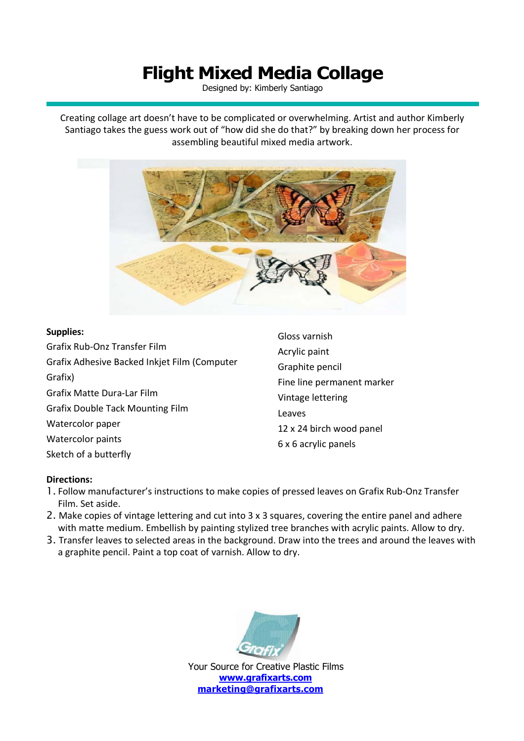## **Flight Mixed Media Collage**

Designed by: Kimberly Santiago

Creating collage art doesn't have to be complicated or overwhelming. Artist and author Kimberly Santiago takes the guess work out of "how did she do that?" by breaking down her process for assembling beautiful mixed media artwork.



## **Supplies:**

| <b>Supplies:</b>                             | Gloss varnish                                             |
|----------------------------------------------|-----------------------------------------------------------|
| Grafix Rub-Onz Transfer Film                 | Acrylic paint                                             |
| Grafix Adhesive Backed Inkjet Film (Computer | Graphite pencil                                           |
| Grafix)                                      | Fine line permanent marker<br>Vintage lettering<br>Leaves |
| <b>Grafix Matte Dura-Lar Film</b>            |                                                           |
| <b>Grafix Double Tack Mounting Film</b>      |                                                           |
| Watercolor paper                             | 12 x 24 birch wood panel                                  |
| Watercolor paints                            | 6 x 6 acrylic panels                                      |
| Sketch of a butterfly                        |                                                           |

## **Directions:**

- 1. Follow manufacturer's instructions to make copies of pressed leaves on Grafix Rub-Onz Transfer Film. Set aside.
- 2. Make copies of vintage lettering and cut into 3 x 3 squares, covering the entire panel and adhere with matte medium. Embellish by painting stylized tree branches with acrylic paints. Allow to dry.
- 3. Transfer leaves to selected areas in the background. Draw into the trees and around the leaves with a graphite pencil. Paint a top coat of varnish. Allow to dry.



Your Source for Creative Plastic Films **www.grafixarts.com marketing@grafixarts.com**